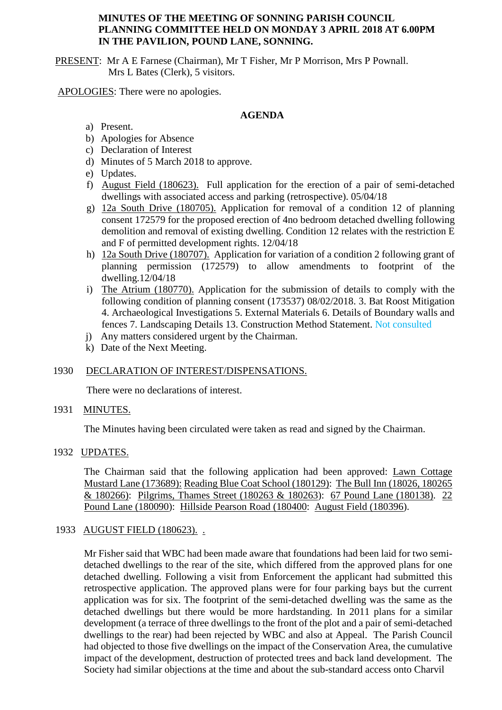### **MINUTES OF THE MEETING OF SONNING PARISH COUNCIL PLANNING COMMITTEE HELD ON MONDAY 3 APRIL 2018 AT 6.00PM IN THE PAVILION, POUND LANE, SONNING.**

PRESENT: Mr A E Farnese (Chairman), Mr T Fisher, Mr P Morrison, Mrs P Pownall. Mrs L Bates (Clerk), 5 visitors.

APOLOGIES: There were no apologies.

# **AGENDA**

- a) Present.
- b) Apologies for Absence
- c) Declaration of Interest
- d) Minutes of 5 March 2018 to approve.
- e) Updates.
- f) August Field (180623). Full application for the erection of a pair of semi-detached dwellings with associated access and parking (retrospective). 05/04/18
- g) 12a South Drive (180705). Application for removal of a condition 12 of planning consent 172579 for the proposed erection of 4no bedroom detached dwelling following demolition and removal of existing dwelling. Condition 12 relates with the restriction E and F of permitted development rights. 12/04/18
- h) 12a South Drive (180707). Application for variation of a condition 2 following grant of planning permission (172579) to allow amendments to footprint of the dwelling.12/04/18
- i) The Atrium (180770). Application for the submission of details to comply with the following condition of planning consent (173537) 08/02/2018. 3. Bat Roost Mitigation 4. Archaeological Investigations 5. External Materials 6. Details of Boundary walls and fences 7. Landscaping Details 13. Construction Method Statement. Not consulted
- j) Any matters considered urgent by the Chairman.
- k) Date of the Next Meeting.

## 1930 DECLARATION OF INTEREST/DISPENSATIONS.

There were no declarations of interest.

#### 1931 MINUTES.

The Minutes having been circulated were taken as read and signed by the Chairman.

#### 1932 UPDATES.

The Chairman said that the following application had been approved: Lawn Cottage Mustard Lane (173689): Reading Blue Coat School (180129): The Bull Inn (18026, 180265 & 180266): Pilgrims, Thames Street (180263 & 180263): 67 Pound Lane (180138). 22 Pound Lane (180090): Hillside Pearson Road (180400: August Field (180396).

#### 1933 AUGUST FIELD (180623). .

Mr Fisher said that WBC had been made aware that foundations had been laid for two semidetached dwellings to the rear of the site, which differed from the approved plans for one detached dwelling. Following a visit from Enforcement the applicant had submitted this retrospective application. The approved plans were for four parking bays but the current application was for six. The footprint of the semi-detached dwelling was the same as the detached dwellings but there would be more hardstanding. In 2011 plans for a similar development (a terrace of three dwellings to the front of the plot and a pair of semi-detached dwellings to the rear) had been rejected by WBC and also at Appeal. The Parish Council had objected to those five dwellings on the impact of the Conservation Area, the cumulative impact of the development, destruction of protected trees and back land development. The Society had similar objections at the time and about the sub-standard access onto Charvil